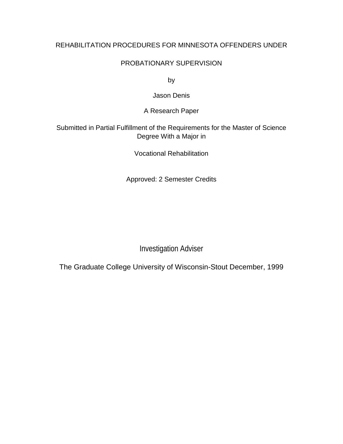# REHABILITATION PROCEDURES FOR MINNESOTA OFFENDERS UNDER

# PROBATIONARY SUPERVISION

by

Jason Denis

A Research Paper

# Submitted in Partial Fulfillment of the Requirements for the Master of Science Degree With a Major in

Vocational Rehabilitation

Approved: 2 Semester Credits

Investigation Adviser

The Graduate College University of Wisconsin-Stout December, 1999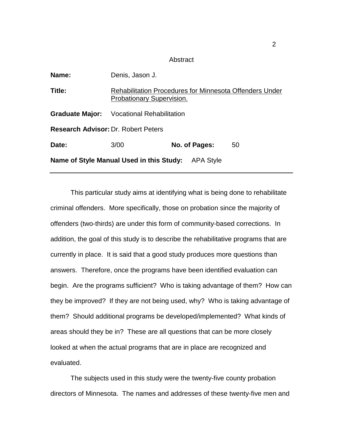#### Abstract

| Name:                                                 | Denis, Jason J.                                                                                    |               |    |
|-------------------------------------------------------|----------------------------------------------------------------------------------------------------|---------------|----|
| Title:                                                | <b>Rehabilitation Procedures for Minnesota Offenders Under</b><br><b>Probationary Supervision.</b> |               |    |
| <b>Graduate Major:</b>                                | Vocational Rehabilitation                                                                          |               |    |
| <b>Research Advisor: Dr. Robert Peters</b>            |                                                                                                    |               |    |
| Date:                                                 | 3/00                                                                                               | No. of Pages: | 50 |
| Name of Style Manual Used in this Study:<br>APA Style |                                                                                                    |               |    |

This particular study aims at identifying what is being done to rehabilitate criminal offenders. More specifically, those on probation since the majority of offenders (two-thirds) are under this form of community-based corrections. In addition, the goal of this study is to describe the rehabilitative programs that are currently in place. It is said that a good study produces more questions than answers. Therefore, once the programs have been identified evaluation can begin. Are the programs sufficient? Who is taking advantage of them? How can they be improved? If they are not being used, why? Who is taking advantage of them? Should additional programs be developed/implemented? What kinds of areas should they be in? These are all questions that can be more closely looked at when the actual programs that are in place are recognized and evaluated.

The subjects used in this study were the twenty-five county probation directors of Minnesota. The names and addresses of these twenty-five men and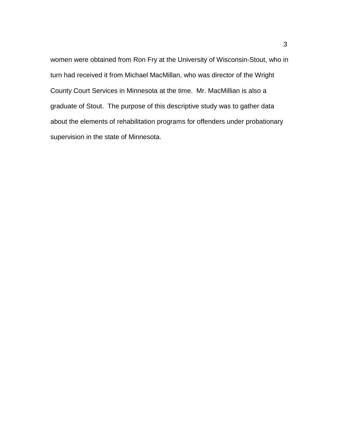women were obtained from Ron Fry at the University of Wisconsin-Stout, who in turn had received it from Michael MacMillan, who was director of the Wright County Court Services in Minnesota at the time. Mr. MacMillian is also a graduate of Stout. The purpose of this descriptive study was to gather data about the elements of rehabilitation programs for offenders under probationary supervision in the state of Minnesota.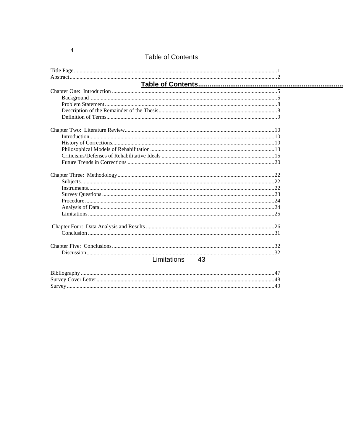| <b>Table of Contents</b> |    |
|--------------------------|----|
|                          |    |
|                          |    |
|                          |    |
|                          |    |
|                          |    |
|                          |    |
|                          |    |
|                          |    |
|                          |    |
|                          |    |
|                          |    |
|                          |    |
|                          |    |
|                          |    |
|                          |    |
|                          |    |
|                          |    |
|                          |    |
|                          |    |
|                          |    |
|                          |    |
|                          |    |
|                          |    |
|                          |    |
|                          |    |
|                          |    |
| Limitations              | 43 |
|                          |    |
|                          |    |

 $\overline{4}$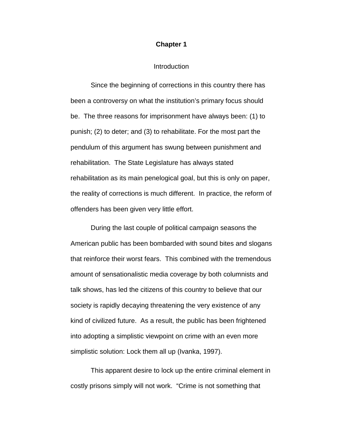### **Chapter 1**

#### **Introduction**

Since the beginning of corrections in this country there has been a controversy on what the institution's primary focus should be. The three reasons for imprisonment have always been: (1) to punish; (2) to deter; and (3) to rehabilitate. For the most part the pendulum of this argument has swung between punishment and rehabilitation. The State Legislature has always stated rehabilitation as its main penelogical goal, but this is only on paper, the reality of corrections is much different. In practice, the reform of offenders has been given very little effort.

During the last couple of political campaign seasons the American public has been bombarded with sound bites and slogans that reinforce their worst fears. This combined with the tremendous amount of sensationalistic media coverage by both columnists and talk shows, has led the citizens of this country to believe that our society is rapidly decaying threatening the very existence of any kind of civilized future. As a result, the public has been frightened into adopting a simplistic viewpoint on crime with an even more simplistic solution: Lock them all up (Ivanka, 1997).

This apparent desire to lock up the entire criminal element in costly prisons simply will not work. "Crime is not something that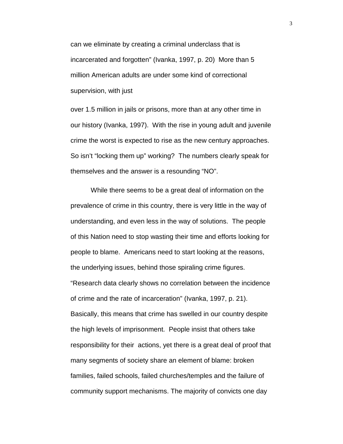can we eliminate by creating a criminal underclass that is incarcerated and forgotten" (Ivanka, 1997, p. 20) More than 5 million American adults are under some kind of correctional supervision, with just

over 1.5 million in jails or prisons, more than at any other time in our history (Ivanka, 1997). With the rise in young adult and juvenile crime the worst is expected to rise as the new century approaches. So isn't "locking them up" working? The numbers clearly speak for themselves and the answer is a resounding "NO".

While there seems to be a great deal of information on the prevalence of crime in this country, there is very little in the way of understanding, and even less in the way of solutions. The people of this Nation need to stop wasting their time and efforts looking for people to blame. Americans need to start looking at the reasons, the underlying issues, behind those spiraling crime figures. "Research data clearly shows no correlation between the incidence of crime and the rate of incarceration" (Ivanka, 1997, p. 21). Basically, this means that crime has swelled in our country despite the high levels of imprisonment. People insist that others take responsibility for their actions, yet there is a great deal of proof that many segments of society share an element of blame: broken families, failed schools, failed churches/temples and the failure of community support mechanisms. The majority of convicts one day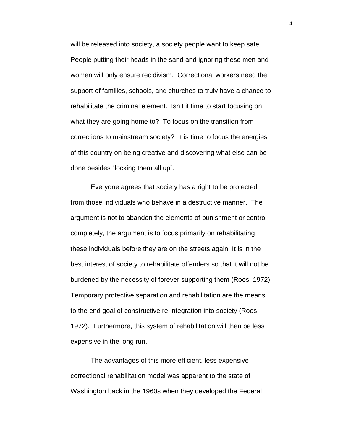will be released into society, a society people want to keep safe. People putting their heads in the sand and ignoring these men and women will only ensure recidivism. Correctional workers need the support of families, schools, and churches to truly have a chance to rehabilitate the criminal element. Isn't it time to start focusing on what they are going home to? To focus on the transition from corrections to mainstream society? It is time to focus the energies of this country on being creative and discovering what else can be done besides "locking them all up".

Everyone agrees that society has a right to be protected from those individuals who behave in a destructive manner. The argument is not to abandon the elements of punishment or control completely, the argument is to focus primarily on rehabilitating these individuals before they are on the streets again. It is in the best interest of society to rehabilitate offenders so that it will not be burdened by the necessity of forever supporting them (Roos, 1972). Temporary protective separation and rehabilitation are the means to the end goal of constructive re-integration into society (Roos, 1972). Furthermore, this system of rehabilitation will then be less expensive in the long run.

The advantages of this more efficient, less expensive correctional rehabilitation model was apparent to the state of Washington back in the 1960s when they developed the Federal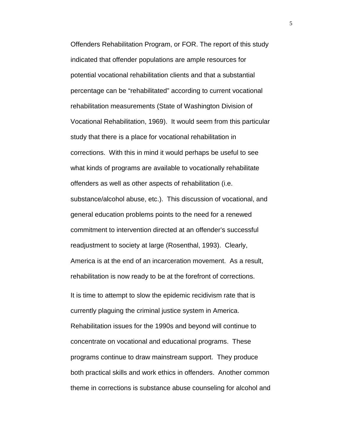Offenders Rehabilitation Program, or FOR. The report of this study indicated that offender populations are ample resources for potential vocational rehabilitation clients and that a substantial percentage can be "rehabilitated" according to current vocational rehabilitation measurements (State of Washington Division of Vocational Rehabilitation, 1969). It would seem from this particular study that there is a place for vocational rehabilitation in corrections. With this in mind it would perhaps be useful to see what kinds of programs are available to vocationally rehabilitate offenders as well as other aspects of rehabilitation (i.e. substance/alcohol abuse, etc.). This discussion of vocational, and general education problems points to the need for a renewed commitment to intervention directed at an offender's successful readjustment to society at large (Rosenthal, 1993). Clearly, America is at the end of an incarceration movement. As a result, rehabilitation is now ready to be at the forefront of corrections. It is time to attempt to slow the epidemic recidivism rate that is currently plaguing the criminal justice system in America. Rehabilitation issues for the 1990s and beyond will continue to concentrate on vocational and educational programs. These programs continue to draw mainstream support. They produce both practical skills and work ethics in offenders. Another common theme in corrections is substance abuse counseling for alcohol and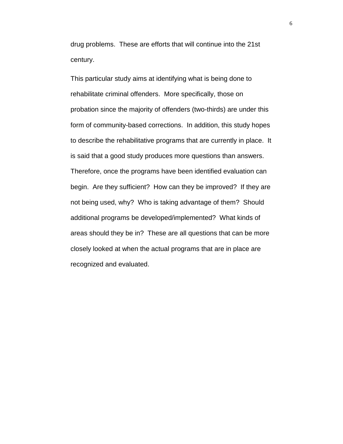drug problems. These are efforts that will continue into the 21st century.

This particular study aims at identifying what is being done to rehabilitate criminal offenders. More specifically, those on probation since the majority of offenders (two-thirds) are under this form of community-based corrections. In addition, this study hopes to describe the rehabilitative programs that are currently in place. It is said that a good study produces more questions than answers. Therefore, once the programs have been identified evaluation can begin. Are they sufficient? How can they be improved? If they are not being used, why? Who is taking advantage of them? Should additional programs be developed/implemented? What kinds of areas should they be in? These are all questions that can be more closely looked at when the actual programs that are in place are recognized and evaluated.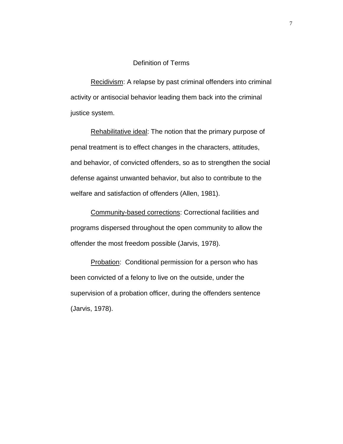### Definition of Terms

Recidivism: A relapse by past criminal offenders into criminal activity or antisocial behavior leading them back into the criminal justice system.

Rehabilitative ideal: The notion that the primary purpose of penal treatment is to effect changes in the characters, attitudes, and behavior, of convicted offenders, so as to strengthen the social defense against unwanted behavior, but also to contribute to the welfare and satisfaction of offenders (Allen, 1981).

Community-based corrections: Correctional facilities and programs dispersed throughout the open community to allow the offender the most freedom possible (Jarvis, 1978).

**Probation:** Conditional permission for a person who has been convicted of a felony to live on the outside, under the supervision of a probation officer, during the offenders sentence (Jarvis, 1978).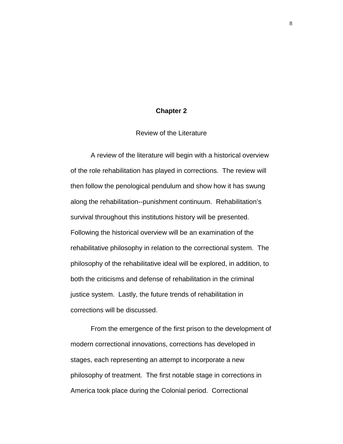### **Chapter 2**

Review of the Literature

A review of the literature will begin with a historical overview of the role rehabilitation has played in corrections. The review will then follow the penological pendulum and show how it has swung along the rehabilitation--punishment continuum. Rehabilitation's survival throughout this institutions history will be presented. Following the historical overview will be an examination of the rehabilitative philosophy in relation to the correctional system. The philosophy of the rehabilitative ideal will be explored, in addition, to both the criticisms and defense of rehabilitation in the criminal justice system. Lastly, the future trends of rehabilitation in corrections will be discussed.

From the emergence of the first prison to the development of modern correctional innovations, corrections has developed in stages, each representing an attempt to incorporate a new philosophy of treatment. The first notable stage in corrections in America took place during the Colonial period. Correctional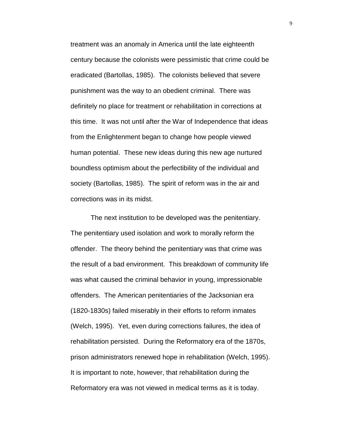treatment was an anomaly in America until the late eighteenth century because the colonists were pessimistic that crime could be eradicated (Bartollas, 1985). The colonists believed that severe punishment was the way to an obedient criminal. There was definitely no place for treatment or rehabilitation in corrections at this time. It was not until after the War of Independence that ideas from the Enlightenment began to change how people viewed human potential. These new ideas during this new age nurtured boundless optimism about the perfectibility of the individual and society (Bartollas, 1985). The spirit of reform was in the air and corrections was in its midst.

The next institution to be developed was the penitentiary. The penitentiary used isolation and work to morally reform the offender. The theory behind the penitentiary was that crime was the result of a bad environment. This breakdown of community life was what caused the criminal behavior in young, impressionable offenders. The American penitentiaries of the Jacksonian era (1820-1830s) failed miserably in their efforts to reform inmates (Welch, 1995). Yet, even during corrections failures, the idea of rehabilitation persisted. During the Reformatory era of the 1870s, prison administrators renewed hope in rehabilitation (Welch, 1995). It is important to note, however, that rehabilitation during the Reformatory era was not viewed in medical terms as it is today.

9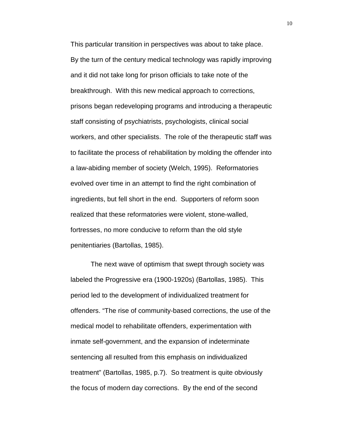This particular transition in perspectives was about to take place. By the turn of the century medical technology was rapidly improving and it did not take long for prison officials to take note of the breakthrough. With this new medical approach to corrections, prisons began redeveloping programs and introducing a therapeutic staff consisting of psychiatrists, psychologists, clinical social workers, and other specialists. The role of the therapeutic staff was to facilitate the process of rehabilitation by molding the offender into a law-abiding member of society (Welch, 1995). Reformatories evolved over time in an attempt to find the right combination of ingredients, but fell short in the end. Supporters of reform soon realized that these reformatories were violent, stone-walled, fortresses, no more conducive to reform than the old style penitentiaries (Bartollas, 1985).

The next wave of optimism that swept through society was labeled the Progressive era (1900-1920s) (Bartollas, 1985). This period led to the development of individualized treatment for offenders. "The rise of community-based corrections, the use of the medical model to rehabilitate offenders, experimentation with inmate self-government, and the expansion of indeterminate sentencing all resulted from this emphasis on individualized treatment" (Bartollas, 1985, p.7). So treatment is quite obviously the focus of modern day corrections. By the end of the second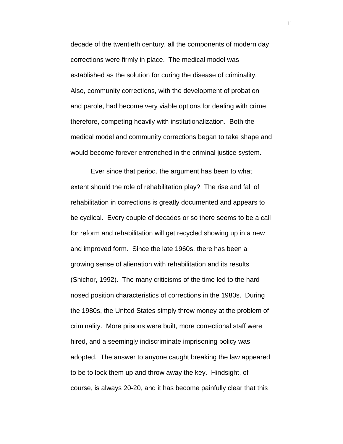decade of the twentieth century, all the components of modern day corrections were firmly in place. The medical model was established as the solution for curing the disease of criminality. Also, community corrections, with the development of probation and parole, had become very viable options for dealing with crime therefore, competing heavily with institutionalization. Both the medical model and community corrections began to take shape and would become forever entrenched in the criminal justice system.

Ever since that period, the argument has been to what extent should the role of rehabilitation play? The rise and fall of rehabilitation in corrections is greatly documented and appears to be cyclical. Every couple of decades or so there seems to be a call for reform and rehabilitation will get recycled showing up in a new and improved form. Since the late 1960s, there has been a growing sense of alienation with rehabilitation and its results (Shichor, 1992). The many criticisms of the time led to the hardnosed position characteristics of corrections in the 1980s. During the 1980s, the United States simply threw money at the problem of criminality. More prisons were built, more correctional staff were hired, and a seemingly indiscriminate imprisoning policy was adopted. The answer to anyone caught breaking the law appeared to be to lock them up and throw away the key. Hindsight, of course, is always 20-20, and it has become painfully clear that this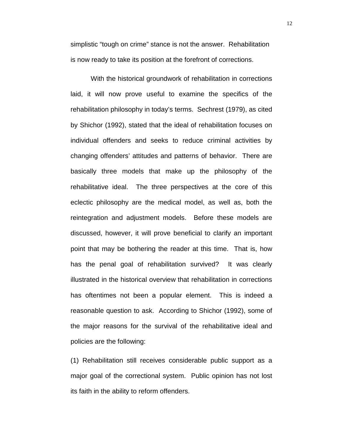simplistic "tough on crime" stance is not the answer. Rehabilitation is now ready to take its position at the forefront of corrections.

With the historical groundwork of rehabilitation in corrections laid, it will now prove useful to examine the specifics of the rehabilitation philosophy in today's terms. Sechrest (1979), as cited by Shichor (1992), stated that the ideal of rehabilitation focuses on individual offenders and seeks to reduce criminal activities by changing offenders' attitudes and patterns of behavior. There are basically three models that make up the philosophy of the rehabilitative ideal. The three perspectives at the core of this eclectic philosophy are the medical model, as well as, both the reintegration and adjustment models. Before these models are discussed, however, it will prove beneficial to clarify an important point that may be bothering the reader at this time. That is, how has the penal goal of rehabilitation survived? It was clearly illustrated in the historical overview that rehabilitation in corrections has oftentimes not been a popular element. This is indeed a reasonable question to ask. According to Shichor (1992), some of the major reasons for the survival of the rehabilitative ideal and policies are the following:

(1) Rehabilitation still receives considerable public support as a major goal of the correctional system. Public opinion has not lost its faith in the ability to reform offenders.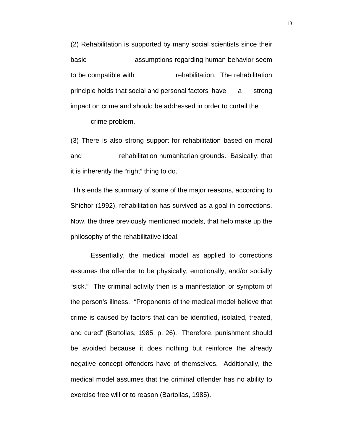(2) Rehabilitation is supported by many social scientists since their basic assumptions regarding human behavior seem to be compatible with rehabilitation. The rehabilitation principle holds that social and personal factors have a strong impact on crime and should be addressed in order to curtail the crime problem.

(3) There is also strong support for rehabilitation based on moral and rehabilitation humanitarian grounds. Basically, that it is inherently the "right" thing to do.

 This ends the summary of some of the major reasons, according to Shichor (1992), rehabilitation has survived as a goal in corrections. Now, the three previously mentioned models, that help make up the philosophy of the rehabilitative ideal.

Essentially, the medical model as applied to corrections assumes the offender to be physically, emotionally, and/or socially "sick." The criminal activity then is a manifestation or symptom of the person's illness. "Proponents of the medical model believe that crime is caused by factors that can be identified, isolated, treated, and cured" (Bartollas, 1985, p. 26). Therefore, punishment should be avoided because it does nothing but reinforce the already negative concept offenders have of themselves. Additionally, the medical model assumes that the criminal offender has no ability to exercise free will or to reason (Bartollas, 1985).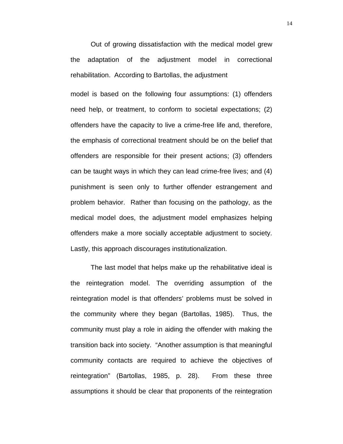Out of growing dissatisfaction with the medical model grew the adaptation of the adjustment model in correctional rehabilitation. According to Bartollas, the adjustment

model is based on the following four assumptions: (1) offenders need help, or treatment, to conform to societal expectations; (2) offenders have the capacity to live a crime-free life and, therefore, the emphasis of correctional treatment should be on the belief that offenders are responsible for their present actions; (3) offenders can be taught ways in which they can lead crime-free lives; and (4) punishment is seen only to further offender estrangement and problem behavior. Rather than focusing on the pathology, as the medical model does, the adjustment model emphasizes helping offenders make a more socially acceptable adjustment to society. Lastly, this approach discourages institutionalization.

The last model that helps make up the rehabilitative ideal is the reintegration model. The overriding assumption of the reintegration model is that offenders' problems must be solved in the community where they began (Bartollas, 1985). Thus, the community must play a role in aiding the offender with making the transition back into society. "Another assumption is that meaningful community contacts are required to achieve the objectives of reintegration" (Bartollas, 1985, p. 28). From these three assumptions it should be clear that proponents of the reintegration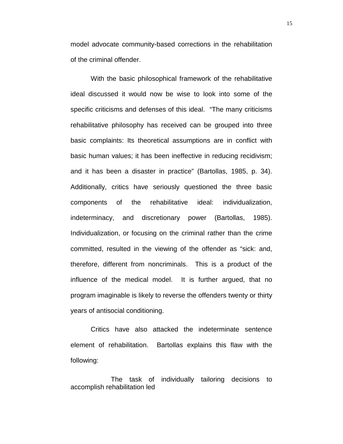model advocate community-based corrections in the rehabilitation of the criminal offender.

With the basic philosophical framework of the rehabilitative ideal discussed it would now be wise to look into some of the specific criticisms and defenses of this ideal. "The many criticisms rehabilitative philosophy has received can be grouped into three basic complaints: Its theoretical assumptions are in conflict with basic human values; it has been ineffective in reducing recidivism; and it has been a disaster in practice" (Bartollas, 1985, p. 34). Additionally, critics have seriously questioned the three basic components of the rehabilitative ideal: individualization, indeterminacy, and discretionary power (Bartollas, 1985). Individualization, or focusing on the criminal rather than the crime committed, resulted in the viewing of the offender as "sick: and, therefore, different from noncriminals. This is a product of the influence of the medical model. It is further argued, that no program imaginable is likely to reverse the offenders twenty or thirty years of antisocial conditioning.

Critics have also attacked the indeterminate sentence element of rehabilitation. Bartollas explains this flaw with the following:

The task of individually tailoring decisions to accomplish rehabilitation led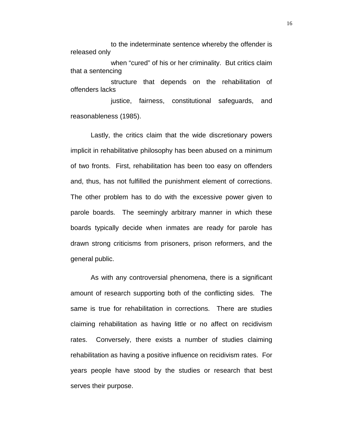to the indeterminate sentence whereby the offender is released only

when "cured" of his or her criminality. But critics claim that a sentencing structure that depends on the rehabilitation of offenders lacks

justice, fairness, constitutional safeguards, and reasonableness (1985).

Lastly, the critics claim that the wide discretionary powers implicit in rehabilitative philosophy has been abused on a minimum of two fronts. First, rehabilitation has been too easy on offenders and, thus, has not fulfilled the punishment element of corrections. The other problem has to do with the excessive power given to parole boards. The seemingly arbitrary manner in which these boards typically decide when inmates are ready for parole has drawn strong criticisms from prisoners, prison reformers, and the general public.

As with any controversial phenomena, there is a significant amount of research supporting both of the conflicting sides. The same is true for rehabilitation in corrections. There are studies claiming rehabilitation as having little or no affect on recidivism rates. Conversely, there exists a number of studies claiming rehabilitation as having a positive influence on recidivism rates. For years people have stood by the studies or research that best serves their purpose.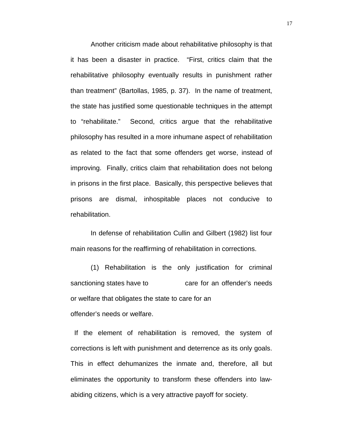Another criticism made about rehabilitative philosophy is that it has been a disaster in practice. "First, critics claim that the rehabilitative philosophy eventually results in punishment rather than treatment" (Bartollas, 1985, p. 37). In the name of treatment, the state has justified some questionable techniques in the attempt to "rehabilitate." Second, critics argue that the rehabilitative philosophy has resulted in a more inhumane aspect of rehabilitation as related to the fact that some offenders get worse, instead of improving. Finally, critics claim that rehabilitation does not belong in prisons in the first place. Basically, this perspective believes that prisons are dismal, inhospitable places not conducive to rehabilitation.

In defense of rehabilitation Cullin and Gilbert (1982) list four main reasons for the reaffirming of rehabilitation in corrections.

(1) Rehabilitation is the only justification for criminal sanctioning states have to care for an offender's needs or welfare that obligates the state to care for an offender's needs or welfare.

If the element of rehabilitation is removed, the system of corrections is left with punishment and deterrence as its only goals. This in effect dehumanizes the inmate and, therefore, all but eliminates the opportunity to transform these offenders into lawabiding citizens, which is a very attractive payoff for society.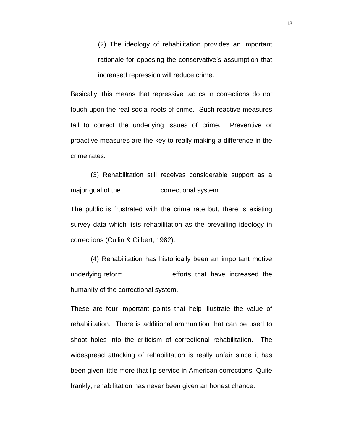(2) The ideology of rehabilitation provides an important rationale for opposing the conservative's assumption that increased repression will reduce crime.

Basically, this means that repressive tactics in corrections do not touch upon the real social roots of crime. Such reactive measures fail to correct the underlying issues of crime. Preventive or proactive measures are the key to really making a difference in the crime rates.

(3) Rehabilitation still receives considerable support as a major goal of the correctional system.

The public is frustrated with the crime rate but, there is existing survey data which lists rehabilitation as the prevailing ideology in corrections (Cullin & Gilbert, 1982).

(4) Rehabilitation has historically been an important motive underlying reform efforts that have increased the humanity of the correctional system.

These are four important points that help illustrate the value of rehabilitation. There is additional ammunition that can be used to shoot holes into the criticism of correctional rehabilitation. The widespread attacking of rehabilitation is really unfair since it has been given little more that lip service in American corrections. Quite frankly, rehabilitation has never been given an honest chance.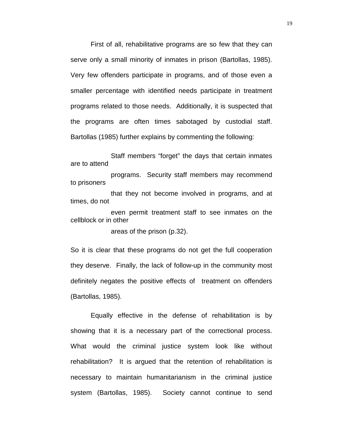First of all, rehabilitative programs are so few that they can serve only a small minority of inmates in prison (Bartollas, 1985). Very few offenders participate in programs, and of those even a smaller percentage with identified needs participate in treatment programs related to those needs. Additionally, it is suspected that the programs are often times sabotaged by custodial staff. Bartollas (1985) further explains by commenting the following:

Staff members "forget" the days that certain inmates are to attend

programs. Security staff members may recommend to prisoners

that they not become involved in programs, and at times, do not

even permit treatment staff to see inmates on the cellblock or in other

areas of the prison (p.32).

So it is clear that these programs do not get the full cooperation they deserve. Finally, the lack of follow-up in the community most definitely negates the positive effects of treatment on offenders (Bartollas, 1985).

Equally effective in the defense of rehabilitation is by showing that it is a necessary part of the correctional process. What would the criminal justice system look like without rehabilitation? It is argued that the retention of rehabilitation is necessary to maintain humanitarianism in the criminal justice system (Bartollas, 1985). Society cannot continue to send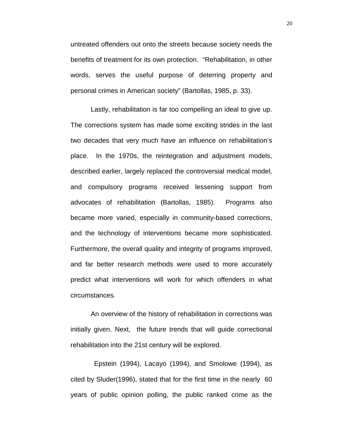untreated offenders out onto the streets because society needs the benefits of treatment for its own protection. "Rehabilitation, in other words, serves the useful purpose of deterring property and personal crimes in American society" (Bartollas, 1985, p. 33).

Lastly, rehabilitation is far too compelling an ideal to give up. The corrections system has made some exciting strides in the last two decades that very much have an influence on rehabilitation's place. In the 1970s, the reintegration and adjustment models, described earlier, largely replaced the controversial medical model, and compulsory programs received lessening support from advocates of rehabilitation (Bartollas, 1985). Programs also became more varied, especially in community-based corrections, and the technology of interventions became more sophisticated. Furthermore, the overall quality and integrity of programs improved, and far better research methods were used to more accurately predict what interventions will work for which offenders in what circumstances.

An overview of the history of rehabilitation in corrections was initially given. Next, the future trends that will guide correctional rehabilitation into the 21st century will be explored.

 Epstein (1994), Lacayo (1994), and Smolowe (1994), as cited by Sluder(1996), stated that for the first time in the nearly 60 years of public opinion polling, the public ranked crime as the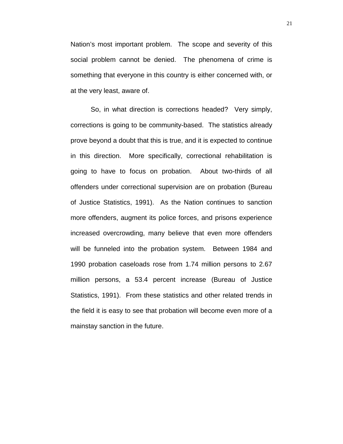Nation's most important problem. The scope and severity of this social problem cannot be denied. The phenomena of crime is something that everyone in this country is either concerned with, or at the very least, aware of.

So, in what direction is corrections headed? Very simply, corrections is going to be community-based. The statistics already prove beyond a doubt that this is true, and it is expected to continue in this direction. More specifically, correctional rehabilitation is going to have to focus on probation. About two-thirds of all offenders under correctional supervision are on probation (Bureau of Justice Statistics, 1991). As the Nation continues to sanction more offenders, augment its police forces, and prisons experience increased overcrowding, many believe that even more offenders will be funneled into the probation system. Between 1984 and 1990 probation caseloads rose from 1.74 million persons to 2.67 million persons, a 53.4 percent increase (Bureau of Justice Statistics, 1991). From these statistics and other related trends in the field it is easy to see that probation will become even more of a mainstay sanction in the future.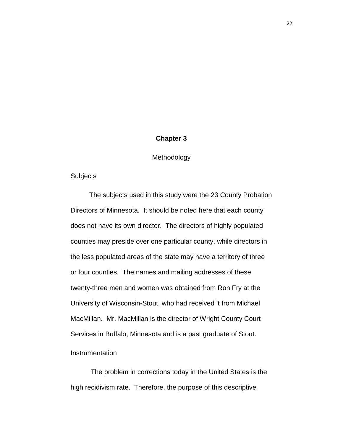# **Chapter 3**

### Methodology

### **Subjects**

 The subjects used in this study were the 23 County Probation Directors of Minnesota. It should be noted here that each county does not have its own director. The directors of highly populated counties may preside over one particular county, while directors in the less populated areas of the state may have a territory of three or four counties. The names and mailing addresses of these twenty-three men and women was obtained from Ron Fry at the University of Wisconsin-Stout, who had received it from Michael MacMillan. Mr. MacMillan is the director of Wright County Court Services in Buffalo, Minnesota and is a past graduate of Stout.

# **Instrumentation**

The problem in corrections today in the United States is the high recidivism rate. Therefore, the purpose of this descriptive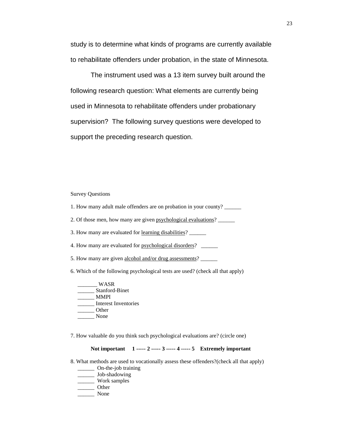study is to determine what kinds of programs are currently available to rehabilitate offenders under probation, in the state of Minnesota.

The instrument used was a 13 item survey built around the following research question: What elements are currently being used in Minnesota to rehabilitate offenders under probationary supervision? The following survey questions were developed to support the preceding research question.

Survey Questions

- 1. How many adult male offenders are on probation in your county? \_\_\_\_\_\_
- 2. Of those men, how many are given psychological evaluations?
- 3. How many are evaluated for <u>learning disabilities</u>?
- 4. How many are evaluated for psychological disorders? \_\_\_\_\_\_
- 5. How many are given alcohol and/or drug assessments?
- 6. Which of the following psychological tests are used? (check all that apply)
	- \_\_\_\_\_\_\_ WASR \_\_\_\_\_\_ Stanford-Binet \_\_\_\_\_\_ MMPI \_\_\_\_\_\_ Interest Inventories \_\_\_\_\_\_ Other \_\_\_\_\_\_ None
- 7. How valuable do you think such psychological evaluations are? (circle one)

#### **Not important 1 ----- 2 ----- 3 ----- 4 ----- 5 Extremely important**

- 8. What methods are used to vocationally assess these offenders?(check all that apply)
	- \_\_\_\_\_\_ On-the-job training
	- \_\_\_\_\_\_ Job-shadowing
	- \_\_\_\_\_\_ Work samples \_\_\_\_\_\_ Other
	- \_\_\_\_\_\_ None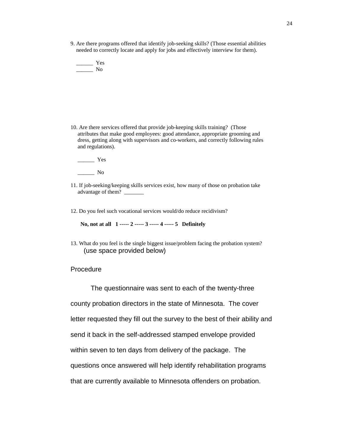9. Are there programs offered that identify job-seeking skills? (Those essential abilities needed to correctly locate and apply for jobs and effectively interview for them).

 $\frac{1}{\sqrt{2\pi}}$  Yes \_\_\_\_\_\_ No

10. Are there services offered that provide job-keeping skills training? (Those attributes that make good employees: good attendance, appropriate grooming and dress, getting along with supervisors and co-workers, and correctly following rules and regulations).

 $\frac{1}{\sqrt{1-\frac{1}{2}}\sqrt{1-\frac{1}{2}}\sqrt{1-\frac{1}{2}}\sqrt{1-\frac{1}{2}}\sqrt{1-\frac{1}{2}}\sqrt{1-\frac{1}{2}}\sqrt{1-\frac{1}{2}}\sqrt{1-\frac{1}{2}}\sqrt{1-\frac{1}{2}}\sqrt{1-\frac{1}{2}}\sqrt{1-\frac{1}{2}}\sqrt{1-\frac{1}{2}}\sqrt{1-\frac{1}{2}}\sqrt{1-\frac{1}{2}}\sqrt{1-\frac{1}{2}}\sqrt{1-\frac{1}{2}}\sqrt{1-\frac{1}{2}}\sqrt{1-\frac{1}{2}}\sqrt{1-\frac{1}{2}}\sqrt{1-\frac$ 

\_\_\_\_\_\_ No

- 11. If job-seeking/keeping skills services exist, how many of those on probation take advantage of them? \_\_\_\_\_\_\_
- 12. Do you feel such vocational services would/do reduce recidivism?

**No, not at all 1 ----- 2 ----- 3 ----- 4 ----- 5 Definitely**

13. What do you feel is the single biggest issue/problem facing the probation system? (use space provided below)

Procedure

The questionnaire was sent to each of the twenty-three county probation directors in the state of Minnesota. The cover letter requested they fill out the survey to the best of their ability and send it back in the self-addressed stamped envelope provided within seven to ten days from delivery of the package. The questions once answered will help identify rehabilitation programs that are currently available to Minnesota offenders on probation.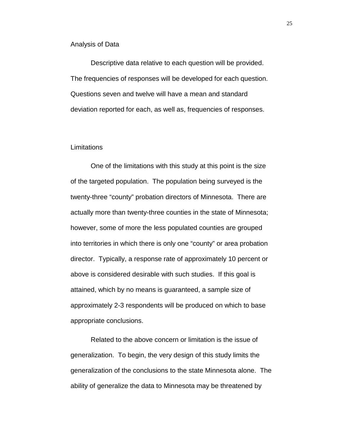#### Analysis of Data

Descriptive data relative to each question will be provided. The frequencies of responses will be developed for each question. Questions seven and twelve will have a mean and standard deviation reported for each, as well as, frequencies of responses.

#### Limitations

One of the limitations with this study at this point is the size of the targeted population. The population being surveyed is the twenty-three "county" probation directors of Minnesota. There are actually more than twenty-three counties in the state of Minnesota; however, some of more the less populated counties are grouped into territories in which there is only one "county" or area probation director. Typically, a response rate of approximately 10 percent or above is considered desirable with such studies. If this goal is attained, which by no means is guaranteed, a sample size of approximately 2-3 respondents will be produced on which to base appropriate conclusions.

Related to the above concern or limitation is the issue of generalization. To begin, the very design of this study limits the generalization of the conclusions to the state Minnesota alone. The ability of generalize the data to Minnesota may be threatened by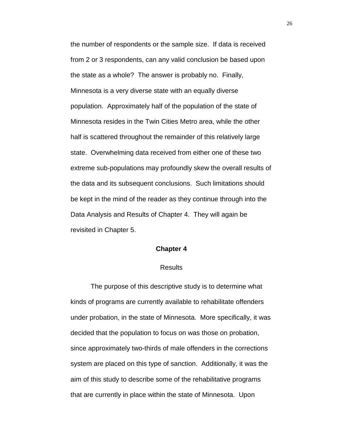the number of respondents or the sample size. If data is received from 2 or 3 respondents, can any valid conclusion be based upon the state as a whole? The answer is probably no. Finally, Minnesota is a very diverse state with an equally diverse population. Approximately half of the population of the state of Minnesota resides in the Twin Cities Metro area, while the other half is scattered throughout the remainder of this relatively large state. Overwhelming data received from either one of these two extreme sub-populations may profoundly skew the overall results of the data and its subsequent conclusions. Such limitations should be kept in the mind of the reader as they continue through into the Data Analysis and Results of Chapter 4. They will again be revisited in Chapter 5.

#### **Chapter 4**

#### **Results**

The purpose of this descriptive study is to determine what kinds of programs are currently available to rehabilitate offenders under probation, in the state of Minnesota. More specifically, it was decided that the population to focus on was those on probation, since approximately two-thirds of male offenders in the corrections system are placed on this type of sanction. Additionally, it was the aim of this study to describe some of the rehabilitative programs that are currently in place within the state of Minnesota. Upon

26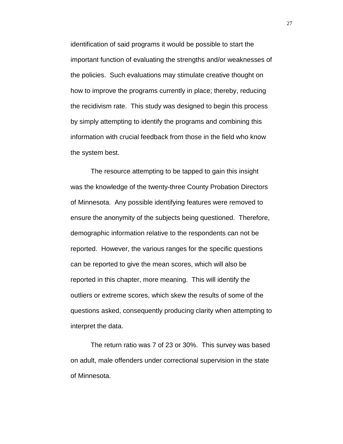identification of said programs it would be possible to start the important function of evaluating the strengths and/or weaknesses of the policies. Such evaluations may stimulate creative thought on how to improve the programs currently in place; thereby, reducing the recidivism rate. This study was designed to begin this process by simply attempting to identify the programs and combining this information with crucial feedback from those in the field who know the system best.

The resource attempting to be tapped to gain this insight was the knowledge of the twenty-three County Probation Directors of Minnesota. Any possible identifying features were removed to ensure the anonymity of the subjects being questioned. Therefore, demographic information relative to the respondents can not be reported. However, the various ranges for the specific questions can be reported to give the mean scores, which will also be reported in this chapter, more meaning. This will identify the outliers or extreme scores, which skew the results of some of the questions asked, consequently producing clarity when attempting to interpret the data.

The return ratio was 7 of 23 or 30%. This survey was based on adult, male offenders under correctional supervision in the state of Minnesota.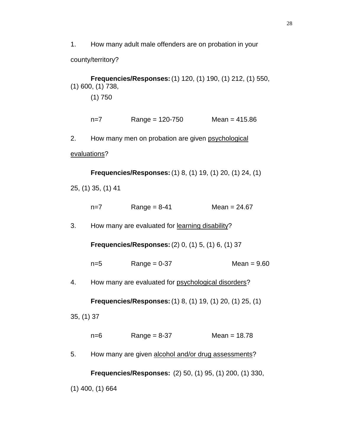1. How many adult male offenders are on probation in your

county/territory?

**Frequencies/Responses:**(1) 120, (1) 190, (1) 212, (1) 550, (1) 600, (1) 738,

(1) 750

| Mean = $415.86$<br>$Range = 120 - 750$<br>$n=7$ |
|-------------------------------------------------|
|-------------------------------------------------|

2. How many men on probation are given psychological

evaluations?

**Frequencies/Responses:**(1) 8, (1) 19, (1) 20, (1) 24, (1)

25, (1) 35, (1) 41

| $n=7$ | $Range = 8-41$ | Mean = $24.67$ |
|-------|----------------|----------------|
|       |                |                |

3. How many are evaluated for learning disability?

**Frequencies/Responses:**(2) 0, (1) 5, (1) 6, (1) 37

| n=5 | Range = $0-37$ | $Mean = 9.60$ |
|-----|----------------|---------------|
|     |                |               |

4. How many are evaluated for psychological disorders?

**Frequencies/Responses:**(1) 8, (1) 19, (1) 20, (1) 25, (1)

35, (1) 37

| n=6 | Range = $8-37$ | Mean = $18.78$ |
|-----|----------------|----------------|
|-----|----------------|----------------|

5. How many are given alcohol and/or drug assessments?

**Frequencies/Responses:** (2) 50, (1) 95, (1) 200, (1) 330,

(1) 400, (1) 664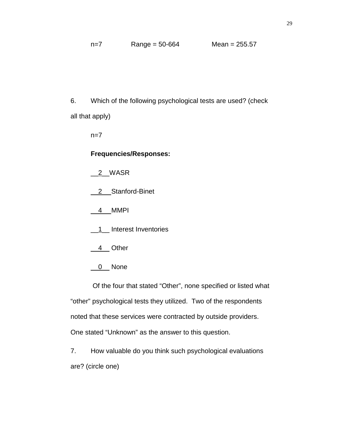6. Which of the following psychological tests are used? (check all that apply)

 $n=7$ 

## **Frequencies/Responses:**

\_\_2\_\_WASR

- \_\_2\_\_ Stanford-Binet
- \_\_4\_\_ MMPI
- \_\_1\_\_ Interest Inventories
- \_\_4\_\_ Other
- 0\_None

 Of the four that stated "Other", none specified or listed what "other" psychological tests they utilized. Two of the respondents noted that these services were contracted by outside providers. One stated "Unknown" as the answer to this question.

7. How valuable do you think such psychological evaluations are? (circle one)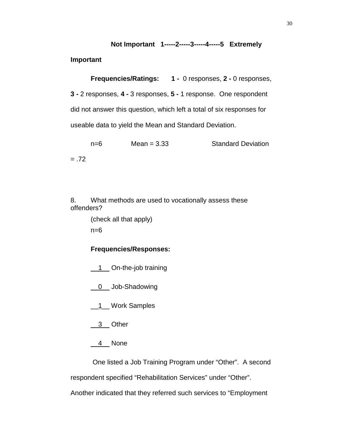# **Not Important 1-----2-----3-----4-----5 Extremely**

**Important**

**Frequencies/Ratings: 1 -** 0 responses, **2 -** 0 responses, **3 -** 2 responses, **4 -** 3 responses, **5 -** 1 response. One respondent did not answer this question, which left a total of six responses for useable data to yield the Mean and Standard Deviation.

n=6 Mean = 3.33 Standard Deviation  $=.72$ 

8. What methods are used to vocationally assess these offenders?

> (check all that apply)  $n=6$

# **Frequencies/Responses:**

1\_1\_On-the-job training

\_\_0\_\_ Job-Shadowing

\_\_1\_\_ Work Samples

- \_\_3\_\_ Other
- $\_4$  None

One listed a Job Training Program under "Other". A second

respondent specified "Rehabilitation Services" under "Other".

Another indicated that they referred such services to "Employment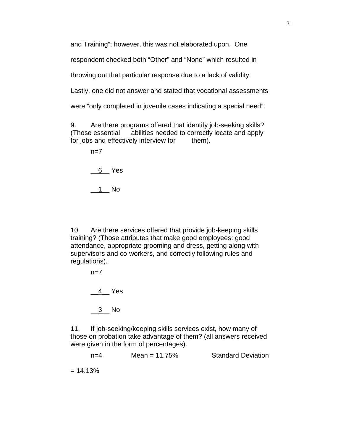and Training"; however, this was not elaborated upon. One

respondent checked both "Other" and "None" which resulted in

throwing out that particular response due to a lack of validity.

Lastly, one did not answer and stated that vocational assessments

were "only completed in juvenile cases indicating a special need".

9. Are there programs offered that identify job-seeking skills? (Those essential abilities needed to correctly locate and apply for jobs and effectively interview for them).

 $n=7$ 

\_\_6\_\_ Yes

 $\_1$  No

10. Are there services offered that provide job-keeping skills training? (Those attributes that make good employees: good attendance, appropriate grooming and dress, getting along with supervisors and co-workers, and correctly following rules and regulations).

> $n=7$ \_\_4\_\_ Yes  $\frac{3}{2}$  No

11. If job-seeking/keeping skills services exist, how many of those on probation take advantage of them? (all answers received were given in the form of percentages).

| n=4 | Mean = $11.75%$ | <b>Standard Deviation</b> |
|-----|-----------------|---------------------------|
|     |                 |                           |

 $= 14.13%$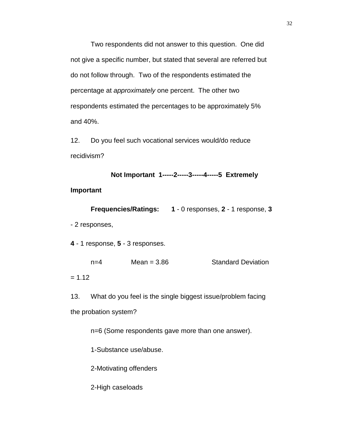Two respondents did not answer to this question. One did not give a specific number, but stated that several are referred but do not follow through. Two of the respondents estimated the percentage at *approximately* one percent. The other two respondents estimated the percentages to be approximately 5% and 40%.

12. Do you feel such vocational services would/do reduce recidivism?

```
Not Important 1-----2-----3-----4-----5 Extremely
```
**Important**

**Frequencies/Ratings: 1** - 0 responses, **2** - 1 response, **3** - 2 responses,

**4** - 1 response, **5** - 3 responses.

n=4 Mean = 3.86 Standard Deviation

 $= 1.12$ 

13. What do you feel is the single biggest issue/problem facing the probation system?

n=6 (Some respondents gave more than one answer).

1-Substance use/abuse.

2-Motivating offenders

2-High caseloads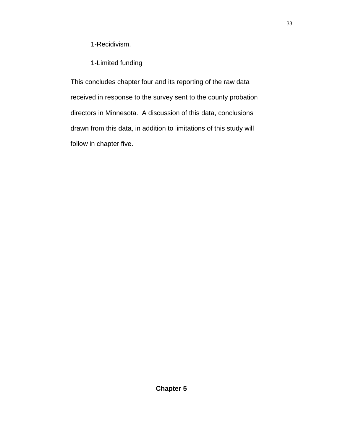1-Recidivism.

1-Limited funding

This concludes chapter four and its reporting of the raw data received in response to the survey sent to the county probation directors in Minnesota. A discussion of this data, conclusions drawn from this data, in addition to limitations of this study will follow in chapter five.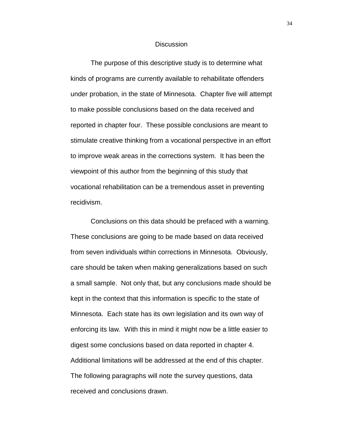#### **Discussion**

The purpose of this descriptive study is to determine what kinds of programs are currently available to rehabilitate offenders under probation, in the state of Minnesota. Chapter five will attempt to make possible conclusions based on the data received and reported in chapter four. These possible conclusions are meant to stimulate creative thinking from a vocational perspective in an effort to improve weak areas in the corrections system. It has been the viewpoint of this author from the beginning of this study that vocational rehabilitation can be a tremendous asset in preventing recidivism.

Conclusions on this data should be prefaced with a warning. These conclusions are going to be made based on data received from seven individuals within corrections in Minnesota. Obviously, care should be taken when making generalizations based on such a small sample. Not only that, but any conclusions made should be kept in the context that this information is specific to the state of Minnesota. Each state has its own legislation and its own way of enforcing its law. With this in mind it might now be a little easier to digest some conclusions based on data reported in chapter 4. Additional limitations will be addressed at the end of this chapter. The following paragraphs will note the survey questions, data received and conclusions drawn.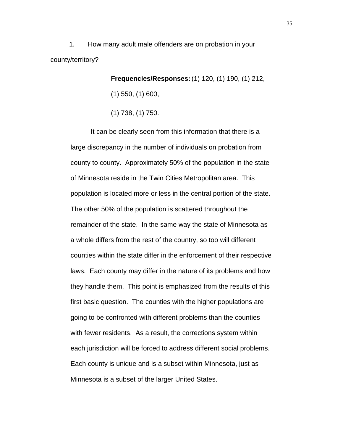1. How many adult male offenders are on probation in your county/territory?

**Frequencies/Responses:**(1) 120, (1) 190, (1) 212,

(1) 550, (1) 600,

(1) 738, (1) 750.

It can be clearly seen from this information that there is a large discrepancy in the number of individuals on probation from county to county. Approximately 50% of the population in the state of Minnesota reside in the Twin Cities Metropolitan area. This population is located more or less in the central portion of the state. The other 50% of the population is scattered throughout the remainder of the state. In the same way the state of Minnesota as a whole differs from the rest of the country, so too will different counties within the state differ in the enforcement of their respective laws. Each county may differ in the nature of its problems and how they handle them. This point is emphasized from the results of this first basic question. The counties with the higher populations are going to be confronted with different problems than the counties with fewer residents. As a result, the corrections system within each jurisdiction will be forced to address different social problems. Each county is unique and is a subset within Minnesota, just as Minnesota is a subset of the larger United States.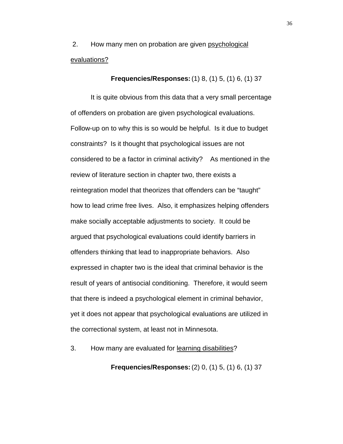2. How many men on probation are given psychological evaluations?

**Frequencies/Responses:**(1) 8, (1) 5, (1) 6, (1) 37

It is quite obvious from this data that a very small percentage of offenders on probation are given psychological evaluations. Follow-up on to why this is so would be helpful. Is it due to budget constraints? Is it thought that psychological issues are not considered to be a factor in criminal activity? As mentioned in the review of literature section in chapter two, there exists a reintegration model that theorizes that offenders can be "taught" how to lead crime free lives. Also, it emphasizes helping offenders make socially acceptable adjustments to society. It could be argued that psychological evaluations could identify barriers in offenders thinking that lead to inappropriate behaviors. Also expressed in chapter two is the ideal that criminal behavior is the result of years of antisocial conditioning. Therefore, it would seem that there is indeed a psychological element in criminal behavior, yet it does not appear that psychological evaluations are utilized in the correctional system, at least not in Minnesota.

3. How many are evaluated for learning disabilities?

**Frequencies/Responses:**(2) 0, (1) 5, (1) 6, (1) 37

36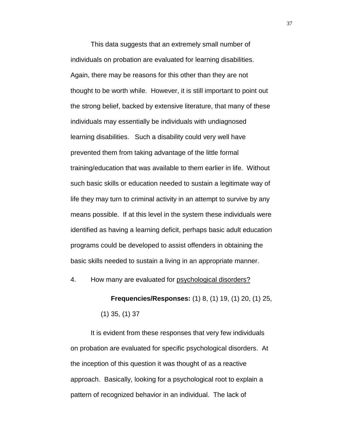This data suggests that an extremely small number of individuals on probation are evaluated for learning disabilities. Again, there may be reasons for this other than they are not thought to be worth while. However, it is still important to point out the strong belief, backed by extensive literature, that many of these individuals may essentially be individuals with undiagnosed learning disabilities. Such a disability could very well have prevented them from taking advantage of the little formal training/education that was available to them earlier in life. Without such basic skills or education needed to sustain a legitimate way of life they may turn to criminal activity in an attempt to survive by any means possible. If at this level in the system these individuals were identified as having a learning deficit, perhaps basic adult education programs could be developed to assist offenders in obtaining the basic skills needed to sustain a living in an appropriate manner.

4. How many are evaluated for psychological disorders?

**Frequencies/Responses:** (1) 8, (1) 19, (1) 20, (1) 25, (1) 35, (1) 37

It is evident from these responses that very few individuals on probation are evaluated for specific psychological disorders. At the inception of this question it was thought of as a reactive approach. Basically, looking for a psychological root to explain a pattern of recognized behavior in an individual. The lack of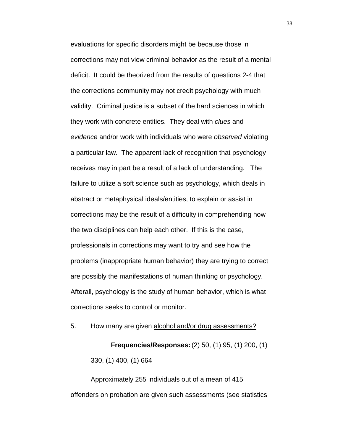evaluations for specific disorders might be because those in corrections may not view criminal behavior as the result of a mental deficit. It could be theorized from the results of questions 2-4 that the corrections community may not credit psychology with much validity. Criminal justice is a subset of the hard sciences in which they work with concrete entities. They deal with *clues* and *evidence* and/or work with individuals who were *observed* violating a particular law. The apparent lack of recognition that psychology receives may in part be a result of a lack of understanding. The failure to utilize a soft science such as psychology, which deals in abstract or metaphysical ideals/entities, to explain or assist in corrections may be the result of a difficulty in comprehending how the two disciplines can help each other. If this is the case, professionals in corrections may want to try and see how the problems (inappropriate human behavior) they are trying to correct are possibly the manifestations of human thinking or psychology. Afterall, psychology is the study of human behavior, which is what corrections seeks to control or monitor.

5. How many are given alcohol and/or drug assessments?

**Frequencies/Responses:**(2) 50, (1) 95, (1) 200, (1) 330, (1) 400, (1) 664

Approximately 255 individuals out of a mean of 415 offenders on probation are given such assessments (see statistics 38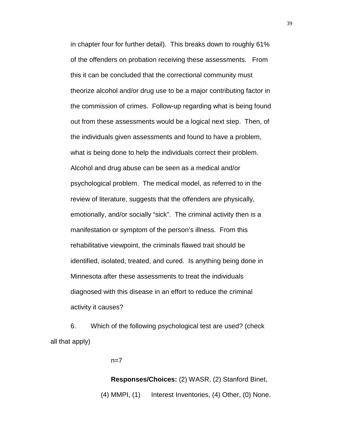in chapter four for further detail). This breaks down to roughly 61% of the offenders on probation receiving these assessments. From this it can be concluded that the correctional community must theorize alcohol and/or drug use to be a major contributing factor in the commission of crimes. Follow-up regarding what is being found out from these assessments would be a logical next step. Then, of the individuals given assessments and found to have a problem, what is being done to help the individuals correct their problem. Alcohol and drug abuse can be seen as a medical and/or psychological problem. The medical model, as referred to in the review of literature, suggests that the offenders are physically, emotionally, and/or socially "sick". The criminal activity then is a manifestation or symptom of the person's illness. From this rehabilitative viewpoint, the criminals flawed trait should be identified, isolated, treated, and cured. Is anything being done in Minnesota after these assessments to treat the individuals diagnosed with this disease in an effort to reduce the criminal activity it causes?

6. Which of the following psychological test are used? (check all that apply)

 $n=7$ 

**Responses/Choices:** (2) WASR, (2) Stanford Binet, (4) MMPI, (1) Interest Inventories, (4) Other, (0) None.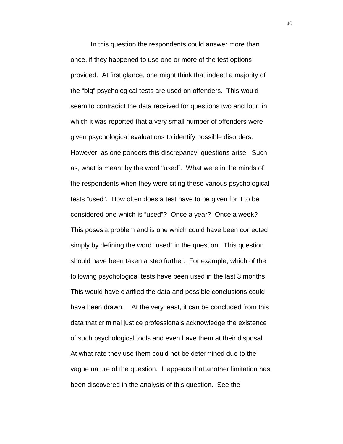In this question the respondents could answer more than once, if they happened to use one or more of the test options provided. At first glance, one might think that indeed a majority of the "big" psychological tests are used on offenders. This would seem to contradict the data received for questions two and four, in which it was reported that a very small number of offenders were given psychological evaluations to identify possible disorders. However, as one ponders this discrepancy, questions arise. Such as, what is meant by the word "used". What were in the minds of the respondents when they were citing these various psychological tests "used". How often does a test have to be given for it to be considered one which is "used"? Once a year? Once a week? This poses a problem and is one which could have been corrected simply by defining the word "used" in the question. This question should have been taken a step further. For example, which of the following psychological tests have been used in the last 3 months. This would have clarified the data and possible conclusions could have been drawn. At the very least, it can be concluded from this data that criminal justice professionals acknowledge the existence of such psychological tools and even have them at their disposal. At what rate they use them could not be determined due to the vague nature of the question. It appears that another limitation has been discovered in the analysis of this question. See the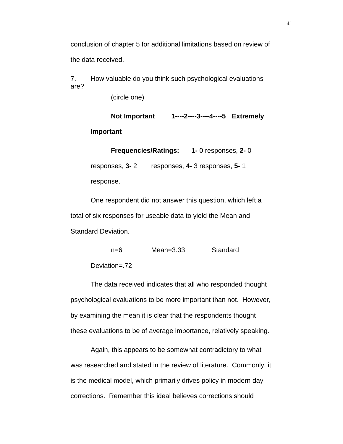conclusion of chapter 5 for additional limitations based on review of the data received.

7. How valuable do you think such psychological evaluations are?

(circle one)

#### **Not Important 1----2----3----4----5 Extremely**

#### **Important**

**Frequencies/Ratings: 1-** 0 responses, **2-** 0 responses, **3-** 2 responses, **4-** 3 responses, **5-** 1 response.

One respondent did not answer this question, which left a total of six responses for useable data to yield the Mean and Standard Deviation.

n=6 Mean=3.33 Standard

Deviation=.72

The data received indicates that all who responded thought psychological evaluations to be more important than not. However, by examining the mean it is clear that the respondents thought these evaluations to be of average importance, relatively speaking.

Again, this appears to be somewhat contradictory to what was researched and stated in the review of literature. Commonly, it is the medical model, which primarily drives policy in modern day corrections. Remember this ideal believes corrections should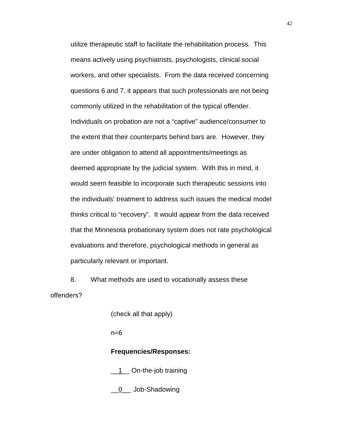utilize therapeutic staff to facilitate the rehabilitation process. This means actively using psychiatrists, psychologists, clinical social workers, and other specialists. From the data received concerning questions 6 and 7, it appears that such professionals are not being commonly utilized in the rehabilitation of the typical offender. Individuals on probation are not a "captive" audience/consumer to the extent that their counterparts behind bars are. However, they are under obligation to attend all appointments/meetings as deemed appropriate by the judicial system. With this in mind, it would seem feasible to incorporate such therapeutic sessions into the individuals' treatment to address such issues the medical model thinks critical to "recovery". It would appear from the data received that the Minnesota probationary system does not rate psychological evaluations and therefore, psychological methods in general as particularly relevant or important.

8. What methods are used to vocationally assess these offenders?

(check all that apply)

n=6

## **Frequencies/Responses:**

1\_\_ On-the-job training

0\_\_ Job-Shadowing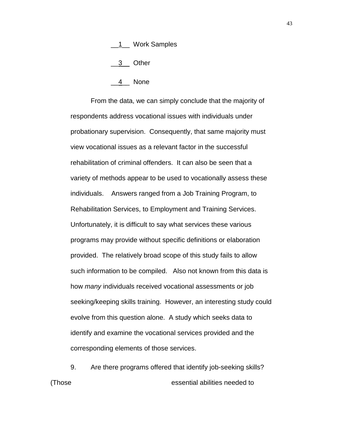#### \_\_1\_\_ Work Samples

 $\frac{3}{2}$  Other

4 None

From the data, we can simply conclude that the majority of respondents address vocational issues with individuals under probationary supervision. Consequently, that same majority must view vocational issues as a relevant factor in the successful rehabilitation of criminal offenders. It can also be seen that a variety of methods appear to be used to vocationally assess these individuals. Answers ranged from a Job Training Program, to Rehabilitation Services, to Employment and Training Services. Unfortunately, it is difficult to say what services these various programs may provide without specific definitions or elaboration provided. The relatively broad scope of this study fails to allow such information to be compiled. Also not known from this data is how *many* individuals received vocational assessments or job seeking/keeping skills training. However, an interesting study could evolve from this question alone. A study which seeks data to identify and examine the vocational services provided and the corresponding elements of those services.

9. Are there programs offered that identify job-seeking skills? (Those essential abilities needed to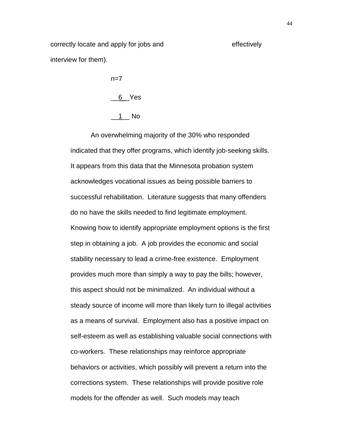correctly locate and apply for jobs and effectively interview for them).

> $n=7$  $6$   $Yes$  $1$ <sub>\_\_\_</sub> No

An overwhelming majority of the 30% who responded indicated that they offer programs, which identify job-seeking skills. It appears from this data that the Minnesota probation system acknowledges vocational issues as being possible barriers to successful rehabilitation. Literature suggests that many offenders do no have the skills needed to find legitimate employment. Knowing how to identify appropriate employment options is the first step in obtaining a job. A job provides the economic and social stability necessary to lead a crime-free existence. Employment provides much more than simply a way to pay the bills; however, this aspect should not be minimalized. An individual without a steady source of income will more than likely turn to illegal activities as a means of survival. Employment also has a positive impact on self-esteem as well as establishing valuable social connections with co-workers. These relationships may reinforce appropriate behaviors or activities, which possibly will prevent a return into the corrections system. These relationships will provide positive role models for the offender as well. Such models may teach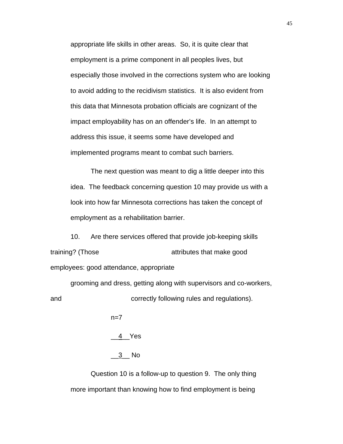appropriate life skills in other areas. So, it is quite clear that employment is a prime component in all peoples lives, but especially those involved in the corrections system who are looking to avoid adding to the recidivism statistics. It is also evident from this data that Minnesota probation officials are cognizant of the impact employability has on an offender's life. In an attempt to address this issue, it seems some have developed and implemented programs meant to combat such barriers.

The next question was meant to dig a little deeper into this idea. The feedback concerning question 10 may provide us with a look into how far Minnesota corrections has taken the concept of employment as a rehabilitation barrier.

10. Are there services offered that provide job-keeping skills training? (Those attributes that make good employees: good attendance, appropriate

grooming and dress, getting along with supervisors and co-workers, and correctly following rules and regulations).

 $n=7$ 

\_\_4\_\_Yes

\_\_3\_\_ No

Question 10 is a follow-up to question 9. The only thing more important than knowing how to find employment is being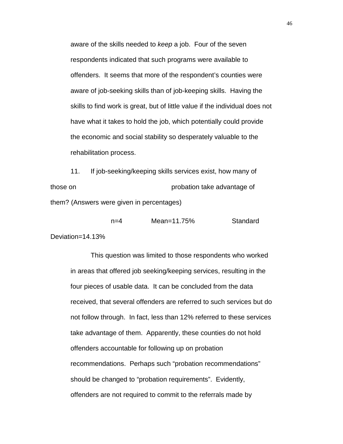aware of the skills needed to *keep* a job. Four of the seven respondents indicated that such programs were available to offenders. It seems that more of the respondent's counties were aware of job-seeking skills than of job-keeping skills. Having the skills to find work is great, but of little value if the individual does not have what it takes to hold the job, which potentially could provide the economic and social stability so desperately valuable to the rehabilitation process.

11. If job-seeking/keeping skills services exist, how many of those on probation take advantage of them? (Answers were given in percentages)

n=4 Mean=11.75% Standard

Deviation=14.13%

This question was limited to those respondents who worked in areas that offered job seeking/keeping services, resulting in the four pieces of usable data. It can be concluded from the data received, that several offenders are referred to such services but do not follow through. In fact, less than 12% referred to these services take advantage of them. Apparently, these counties do not hold offenders accountable for following up on probation recommendations. Perhaps such "probation recommendations" should be changed to "probation requirements". Evidently, offenders are not required to commit to the referrals made by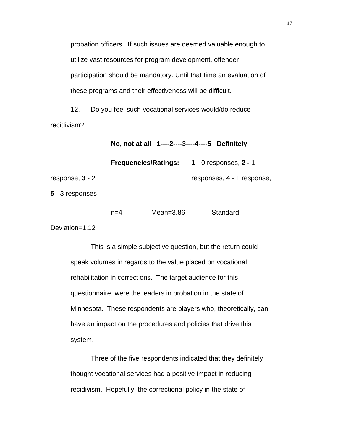probation officers. If such issues are deemed valuable enough to utilize vast resources for program development, offender participation should be mandatory. Until that time an evaluation of these programs and their effectiveness will be difficult.

12. Do you feel such vocational services would/do reduce recidivism?

**No, not at all 1----2----3----4----5 Definitely**

**Frequencies/Ratings: 1** - 0 responses, **2 -** 1

response, **3** - 2 responses, **4** - 1 response,

**5** - 3 responses

| n=4 | Mean= $3.86$ | Standard |
|-----|--------------|----------|
|     |              |          |

Deviation=1.12

This is a simple subjective question, but the return could speak volumes in regards to the value placed on vocational rehabilitation in corrections. The target audience for this questionnaire, were the leaders in probation in the state of Minnesota. These respondents are players who, theoretically, can have an impact on the procedures and policies that drive this system.

Three of the five respondents indicated that they definitely thought vocational services had a positive impact in reducing recidivism. Hopefully, the correctional policy in the state of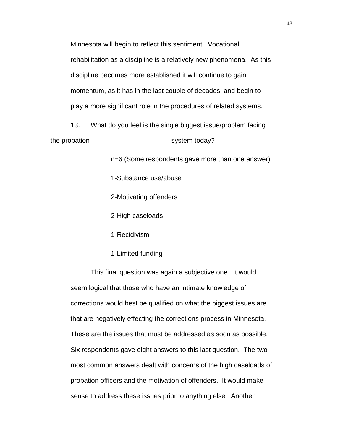Minnesota will begin to reflect this sentiment. Vocational rehabilitation as a discipline is a relatively new phenomena. As this discipline becomes more established it will continue to gain momentum, as it has in the last couple of decades, and begin to play a more significant role in the procedures of related systems.

13. What do you feel is the single biggest issue/problem facing the probation system today?

n=6 (Some respondents gave more than one answer).

1-Substance use/abuse

2-Motivating offenders

2-High caseloads

1-Recidivism

1-Limited funding

This final question was again a subjective one. It would seem logical that those who have an intimate knowledge of corrections would best be qualified on what the biggest issues are that are negatively effecting the corrections process in Minnesota. These are the issues that must be addressed as soon as possible. Six respondents gave eight answers to this last question. The two most common answers dealt with concerns of the high caseloads of probation officers and the motivation of offenders. It would make sense to address these issues prior to anything else. Another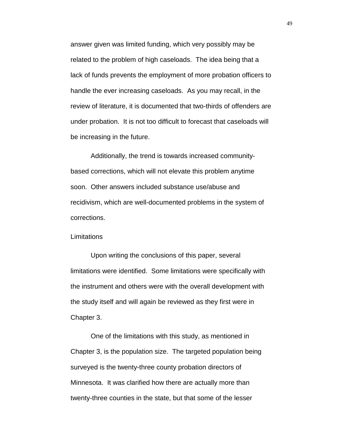answer given was limited funding, which very possibly may be related to the problem of high caseloads. The idea being that a lack of funds prevents the employment of more probation officers to handle the ever increasing caseloads. As you may recall, in the review of literature, it is documented that two-thirds of offenders are under probation. It is not too difficult to forecast that caseloads will be increasing in the future.

Additionally, the trend is towards increased communitybased corrections, which will not elevate this problem anytime soon. Other answers included substance use/abuse and recidivism, which are well-documented problems in the system of corrections.

#### **Limitations**

Upon writing the conclusions of this paper, several limitations were identified. Some limitations were specifically with the instrument and others were with the overall development with the study itself and will again be reviewed as they first were in Chapter 3.

One of the limitations with this study, as mentioned in Chapter 3, is the population size. The targeted population being surveyed is the twenty-three county probation directors of Minnesota. It was clarified how there are actually more than twenty-three counties in the state, but that some of the lesser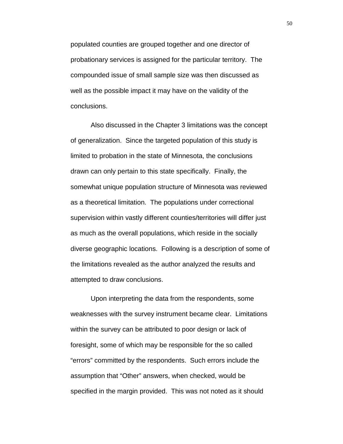populated counties are grouped together and one director of probationary services is assigned for the particular territory. The compounded issue of small sample size was then discussed as well as the possible impact it may have on the validity of the conclusions.

Also discussed in the Chapter 3 limitations was the concept of generalization. Since the targeted population of this study is limited to probation in the state of Minnesota, the conclusions drawn can only pertain to this state specifically. Finally, the somewhat unique population structure of Minnesota was reviewed as a theoretical limitation. The populations under correctional supervision within vastly different counties/territories will differ just as much as the overall populations, which reside in the socially diverse geographic locations. Following is a description of some of the limitations revealed as the author analyzed the results and attempted to draw conclusions.

Upon interpreting the data from the respondents, some weaknesses with the survey instrument became clear. Limitations within the survey can be attributed to poor design or lack of foresight, some of which may be responsible for the so called "errors" committed by the respondents. Such errors include the assumption that "Other" answers, when checked, would be specified in the margin provided. This was not noted as it should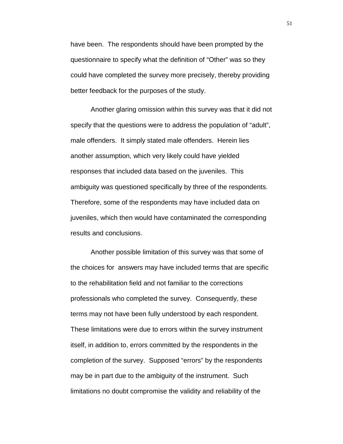have been. The respondents should have been prompted by the questionnaire to specify what the definition of "Other" was so they could have completed the survey more precisely, thereby providing better feedback for the purposes of the study.

Another glaring omission within this survey was that it did not specify that the questions were to address the population of "adult", male offenders. It simply stated male offenders. Herein lies another assumption, which very likely could have yielded responses that included data based on the juveniles. This ambiguity was questioned specifically by three of the respondents. Therefore, some of the respondents may have included data on juveniles, which then would have contaminated the corresponding results and conclusions.

Another possible limitation of this survey was that some of the choices for answers may have included terms that are specific to the rehabilitation field and not familiar to the corrections professionals who completed the survey. Consequently, these terms may not have been fully understood by each respondent. These limitations were due to errors within the survey instrument itself, in addition to, errors committed by the respondents in the completion of the survey. Supposed "errors" by the respondents may be in part due to the ambiguity of the instrument. Such limitations no doubt compromise the validity and reliability of the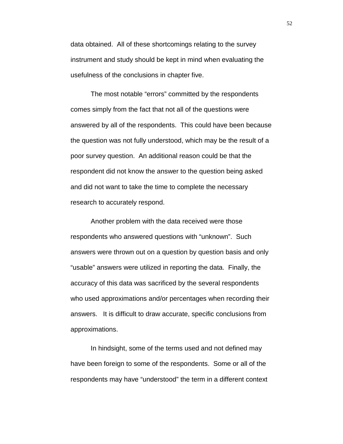data obtained. All of these shortcomings relating to the survey instrument and study should be kept in mind when evaluating the usefulness of the conclusions in chapter five.

The most notable "errors" committed by the respondents comes simply from the fact that not all of the questions were answered by all of the respondents. This could have been because the question was not fully understood, which may be the result of a poor survey question. An additional reason could be that the respondent did not know the answer to the question being asked and did not want to take the time to complete the necessary research to accurately respond.

Another problem with the data received were those respondents who answered questions with "unknown". Such answers were thrown out on a question by question basis and only "usable" answers were utilized in reporting the data. Finally, the accuracy of this data was sacrificed by the several respondents who used approximations and/or percentages when recording their answers. It is difficult to draw accurate, specific conclusions from approximations.

In hindsight, some of the terms used and not defined may have been foreign to some of the respondents. Some or all of the respondents may have "understood" the term in a different context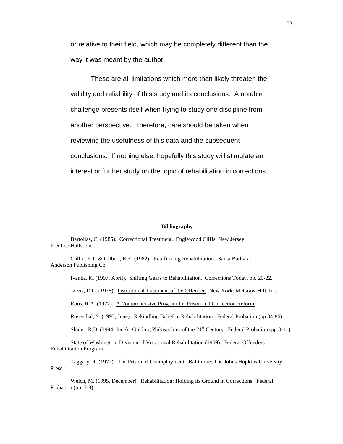or relative to their field, which may be completely different than the way it was meant by the author.

These are all limitations which more than likely threaten the validity and reliability of this study and its conclusions. A notable challenge presents itself when trying to study one discipline from another perspective. Therefore, care should be taken when reviewing the usefulness of this data and the subsequent conclusions. If nothing else, hopefully this study will stimulate an interest or further study on the topic of rehabilitation in corrections.

#### **Bibliography**

Bartollas, C. (1985). Correctional Treatment. Englewood Cliffs, New Jersey: Prentice-Halls, Inc.

Cullin, F.T. & Gilbert, K.E. (1982). Reaffirming Rehabilitation. Santa Barbara: Anderson Publishing Co.

Ivanka, K. (1997, April). Shifting Gears to Rehabilitation. Corrections Today, pp. 20-22.

Jarvis, D.C. (1978). Institutional Treatment of the Offender. New York: McGraw-Hill, Inc.

Roos, R.A. (1972). A Comprehensive Program for Prison and Correction Reform.

Rosenthal, S. (1993, June). Rekindling Belief in Rehabilitation. Federal Probation (pp.84-86).

Sluder, R.D. (1994, June). Guiding Philosophies of the  $21<sup>st</sup>$  Century. Federal Probation (pp.3-11).

State of Washington, Division of Vocational Rehabilitation (1969). Federal Offenders Rehabilitation Program.

Taggary, R. (1972). The Prison of Unemployment. Baltimore: The Johns Hopkins University Press.

Welch, M. (1995, December). Rehabilitation: Holding its Ground in Corrections. Federal Probation (pp. 3-8).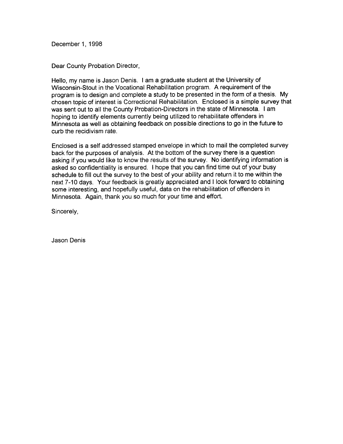December 1, 1998

Dear County Probation Director,

Hello, my name is Jason Denis. I am a graduate student at the University of Wisconsin-Stout in the Vocational Rehabilitation program. A requirement of the program is to design and complete a study to be presented in the form of a thesis. My chosen topic of interest is Correctional Rehabilitation. Enclosed is a simple survey that was sent out to all the County Probation-Directors in the state of Minnesota. I am hoping to identify elements currently being utilized to rehabilitate offenders in Minnesota as well as obtaining feedback on possible directions to go in the future to curb the recidivism rate.

Enclosed is a self addressed stamped envelope in which to mail the completed survey back for the purposes of analysis. At the bottom of the survey there is a question asking if you would like to know the results of the survey. No identifying information is asked so confidentiality is ensured. I hope that you can find time out of your busy schedule to fill out the survey to the best of your ability and return it to me within the next 7-10 days. Your feedback is greatly appreciated and I look forward to obtaining some interesting, and hopefully useful, data on the rehabilitation of offenders in Minnesota. Again, thank you so much for your time and effort.

Sincerely,

Jason Denis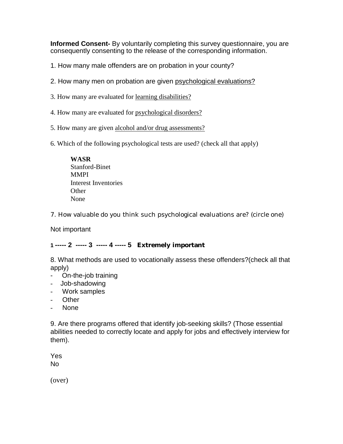**Informed Consent-** By voluntarily completing this survey questionnaire, you are consequently consenting to the release of the corresponding information.

1. How many male offenders are on probation in your county?

- 2. How many men on probation are given psychological evaluations?
- 3. How many are evaluated for learning disabilities?
- 4. How many are evaluated for psychological disorders?
- 5. How many are given alcohol and/or drug assessments?
- 6. Which of the following psychological tests are used? (check all that apply)

**WASR** Stanford-Binet **MMPI** Interest Inventories **Other** None

7. How valuable do you think such psychological evaluations are? (circle one)

Not important

# **1 ----- 2 ----- 3 ----- 4 ----- 5 Extremely important**

8. What methods are used to vocationally assess these offenders?(check all that apply)

- On-the-job training
- Job-shadowing
- Work samples
- Other
- None

9. Are there programs offered that identify job-seeking skills? (Those essential abilities needed to correctly locate and apply for jobs and effectively interview for them).

Yes No

(over)